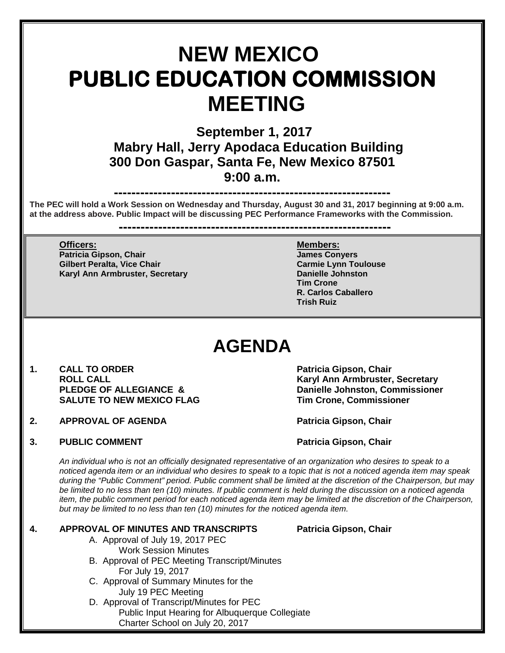# **NEW MEXICO PUBLIC EDUCATION COMMISSION MEETING**

 **September 1, 2017 Mabry Hall, Jerry Apodaca Education Building 300 Don Gaspar, Santa Fe, New Mexico 87501 9:00 a.m.**

**---------------------------------------------------------------**

**The PEC will hold a Work Session on Wednesday and Thursday, August 30 and 31, 2017 beginning at 9:00 a.m. at the address above. Public Impact will be discussing PEC Performance Frameworks with the Commission.**

**--------------------------------------------------------------**

**Officers: Members: Patricia Gipson, Chair James Conyers Gilbert Peralta, Vice Chair Carmie Lynn Toulouse Karyl Ann Armbruster, Secretary** 

**Tim Crone R. Carlos Caballero Trish Ruiz**

# **AGENDA**

- 1. **CALL TO ORDER Patricia Gipson, Chair SALUTE TO NEW MEXICO FLAG**
- **2. APPROVAL OF AGENDA Patricia Gipson, Chair**
- **3. PUBLIC COMMENT Patricia Gipson, Chair** Patricia Gipson, Chair

**ROLL CALL Karyl Ann Armbruster, Secretary Danielle Johnston, Commissioner<br>Tim Crone. Commissioner** 

*An individual who is not an officially designated representative of an organization who desires to speak to a noticed agenda item or an individual who desires to speak to a topic that is not a noticed agenda item may speak during the "Public Comment" period. Public comment shall be limited at the discretion of the Chairperson, but may be limited to no less than ten (10) minutes. If public comment is held during the discussion on a noticed agenda item, the public comment period for each noticed agenda item may be limited at the discretion of the Chairperson, but may be limited to no less than ten (10) minutes for the noticed agenda item.*

### **4. APPROVAL OF MINUTES AND TRANSCRIPTS Patricia Gipson, Chair**

- A. Approval of July 19, 2017 PEC Work Session Minutes
- B. Approval of PEC Meeting Transcript/Minutes For July 19, 2017
- C. Approval of Summary Minutes for the July 19 PEC Meeting
- D. Approval of Transcript/Minutes for PEC Public Input Hearing for Albuquerque Collegiate Charter School on July 20, 2017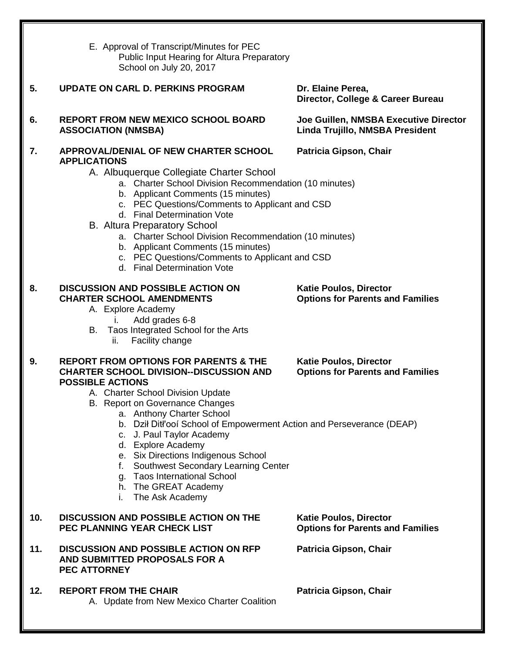E. Approval of Transcript/Minutes for PEC Public Input Hearing for Altura Preparatory School on July 20, 2017

## **5. UPDATE ON CARL D. PERKINS PROGRAM Dr. Elaine Perea,**

**6. REPORT FROM NEW MEXICO SCHOOL BOARD Joe Guillen, NMSBA Executive Director ASSOCIATION (NMSBA) Linda Trujillo, NMSBA President**

#### **7. APPROVAL/DENIAL OF NEW CHARTER SCHOOL Patricia Gipson, Chair APPLICATIONS**

### A. Albuquerque Collegiate Charter School

- a. Charter School Division Recommendation (10 minutes)
- b. Applicant Comments (15 minutes)
- c. PEC Questions/Comments to Applicant and CSD
- d. Final Determination Vote
- B. Altura Preparatory School
	- a. Charter School Division Recommendation (10 minutes)
	- b. Applicant Comments (15 minutes)
	- c. PEC Questions/Comments to Applicant and CSD
	- d. Final Determination Vote

## **8. DISCUSSION AND POSSIBLE ACTION ON Katie Poulos, Director**

- A. Explore Academy
	- i. Add grades 6-8
- B. Taos Integrated School for the Arts
	- ii. Facility change

#### **9. REPORT FROM OPTIONS FOR PARENTS & THE Katie Poulos, Director CHARTER SCHOOL DIVISION--DISCUSSION AND Options for Parents and Families POSSIBLE ACTIONS**

- A. Charter School Division Update
- B. Report on Governance Changes
	- a. Anthony Charter School
	- b. Dził Ditł'ooí School of Empowerment Action and Perseverance (DEAP)
	- c. J. Paul Taylor Academy
	- d. Explore Academy
	- e. Six Directions Indigenous School
	- f. Southwest Secondary Learning Center
	- g. Taos International School
	- h. The GREAT Academy
	- i. The Ask Academy

### **10. DISCUSSION AND POSSIBLE ACTION ON THE Katie Poulos, Director PEC PLANNING YEAR CHECK LIST**

#### **11. DISCUSSION AND POSSIBLE ACTION ON RFP Patricia Gipson, Chair AND SUBMITTED PROPOSALS FOR A PEC ATTORNEY**

12. **REPORT FROM THE CHAIR Patricia Gipson, Chair** A. Update from New Mexico Charter Coalition

**Director, College & Career Bureau**

**Options for Parents and Families**